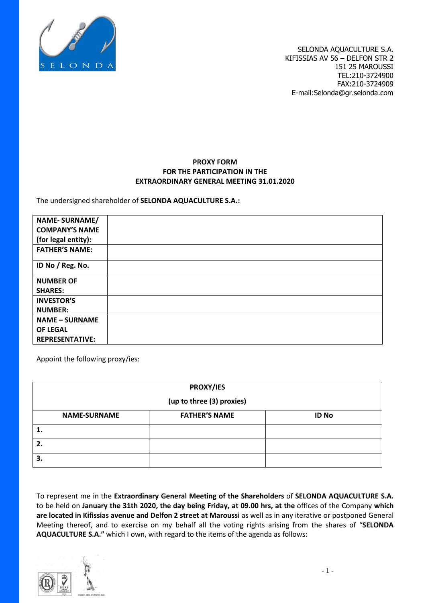

## **PROXY FORM FOR THE PARTICIPATION IN THE EXTRAORDINARY GENERAL MEETING 31.01.2020**

The undersigned shareholder of **SELONDA AQUACULTURE S.A.:**

| <b>NAME-SURNAME/</b>   |  |
|------------------------|--|
| <b>COMPANY'S NAME</b>  |  |
| (for legal entity):    |  |
| <b>FATHER'S NAME:</b>  |  |
| ID No / Reg. No.       |  |
| <b>NUMBER OF</b>       |  |
| <b>SHARES:</b>         |  |
| <b>INVESTOR'S</b>      |  |
| <b>NUMBER:</b>         |  |
| <b>NAME - SURNAME</b>  |  |
| <b>OF LEGAL</b>        |  |
| <b>REPRESENTATIVE:</b> |  |

Appoint the following proxy/ies:

| <b>PROXY/IES</b>          |                      |              |  |  |  |  |
|---------------------------|----------------------|--------------|--|--|--|--|
| (up to three (3) proxies) |                      |              |  |  |  |  |
| <b>NAME-SURNAME</b>       | <b>FATHER'S NAME</b> | <b>ID No</b> |  |  |  |  |
|                           |                      |              |  |  |  |  |
| 2.                        |                      |              |  |  |  |  |
| 3.                        |                      |              |  |  |  |  |

To represent me in the **Extraordinary General Meeting of the Shareholders** of **SELONDA AQUACULTURE S.A.** to be held on **January the 31th 2020, the day being Friday, at 09.00 hrs, at the** offices of the Company **which are located in Kifissias avenue and Delfon 2 street at Maroussi** as well as in any iterative or postponed General Meeting thereof, and to exercise on my behalf all the voting rights arising from the shares of "**SELONDA AQUACULTURE S.A."** which I own, with regard to the items of the agenda as follows:

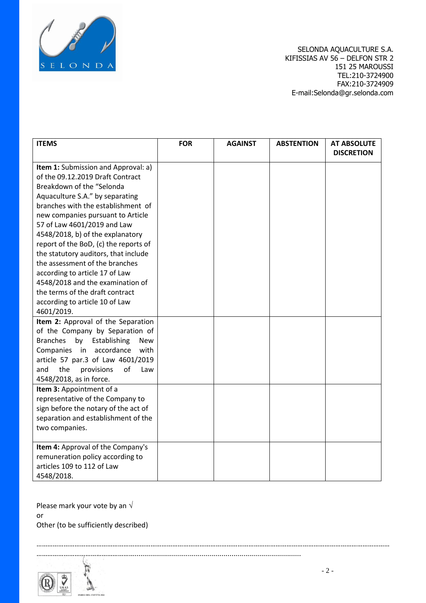

| <b>ITEMS</b>                                        | <b>FOR</b> | <b>AGAINST</b> | <b>ABSTENTION</b> | <b>AT ABSOLUTE</b><br><b>DISCRETION</b> |
|-----------------------------------------------------|------------|----------------|-------------------|-----------------------------------------|
|                                                     |            |                |                   |                                         |
| Item 1: Submission and Approval: a)                 |            |                |                   |                                         |
| of the 09.12.2019 Draft Contract                    |            |                |                   |                                         |
| Breakdown of the "Selonda                           |            |                |                   |                                         |
| Aquaculture S.A." by separating                     |            |                |                   |                                         |
| branches with the establishment of                  |            |                |                   |                                         |
| new companies pursuant to Article                   |            |                |                   |                                         |
| 57 of Law 4601/2019 and Law                         |            |                |                   |                                         |
| 4548/2018, b) of the explanatory                    |            |                |                   |                                         |
| report of the BoD, (c) the reports of               |            |                |                   |                                         |
| the statutory auditors, that include                |            |                |                   |                                         |
| the assessment of the branches                      |            |                |                   |                                         |
| according to article 17 of Law                      |            |                |                   |                                         |
| 4548/2018 and the examination of                    |            |                |                   |                                         |
| the terms of the draft contract                     |            |                |                   |                                         |
| according to article 10 of Law                      |            |                |                   |                                         |
| 4601/2019.                                          |            |                |                   |                                         |
| Item 2: Approval of the Separation                  |            |                |                   |                                         |
| of the Company by Separation of                     |            |                |                   |                                         |
| <b>Branches</b><br>by<br>Establishing<br><b>New</b> |            |                |                   |                                         |
| accordance<br>Companies in<br>with                  |            |                |                   |                                         |
| article 57 par.3 of Law 4601/2019                   |            |                |                   |                                         |
| of<br>and<br>the<br>provisions<br>Law               |            |                |                   |                                         |
| 4548/2018, as in force.                             |            |                |                   |                                         |
| Item 3: Appointment of a                            |            |                |                   |                                         |
| representative of the Company to                    |            |                |                   |                                         |
| sign before the notary of the act of                |            |                |                   |                                         |
| separation and establishment of the                 |            |                |                   |                                         |
| two companies.                                      |            |                |                   |                                         |
|                                                     |            |                |                   |                                         |
| Item 4: Approval of the Company's                   |            |                |                   |                                         |
| remuneration policy according to                    |            |                |                   |                                         |
| articles 109 to 112 of Law                          |            |                |                   |                                         |
| 4548/2018.                                          |            |                |                   |                                         |

……………………………………………………………………………………………………………………………………………………………………………

………………………………………………....................................................................................

Please mark your vote by an  $\sqrt{ }$ or Other (to be sufficiently described)

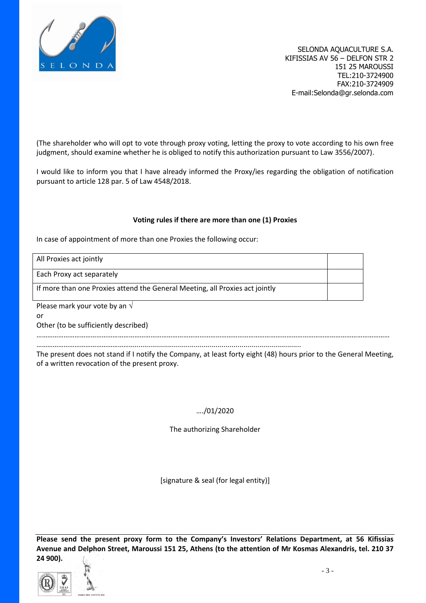

(The shareholder who will opt to vote through proxy voting, letting the proxy to vote according to his own free judgment, should examine whether he is obliged to notify this authorization pursuant to Law 3556/2007).

I would like to inform you that I have already informed the Proxy/ies regarding the obligation of notification pursuant to article 128 par. 5 of Law 4548/2018.

## **Voting rules if there are more than one (1) Proxies**

In case of appointment of more than one Proxies the following occur:

All Proxies act jointly

Each Proxy act separately

If more than one Proxies attend the General Meeting, all Proxies act jointly

Please mark your vote by an  $\sqrt{ }$ 

or

Other (to be sufficiently described)

……………………………………………………………………………………………………………………………………………………………………………

………………………………………………....................................................................................

The present does not stand if I notify the Company, at least forty eight (48) hours prior to the General Meeting, of a written revocation of the present proxy.

## …./01/2020

The authorizing Shareholder

[signature & seal (for legal entity)]

**Please send the present proxy form to the Company's Investors' Relations Department, at 56 Kifissias Avenue and Delphon Street, Maroussi 151 25, Athens (to the attention of Mr Kosmas Alexandris, tel. 210 37 24 900).**